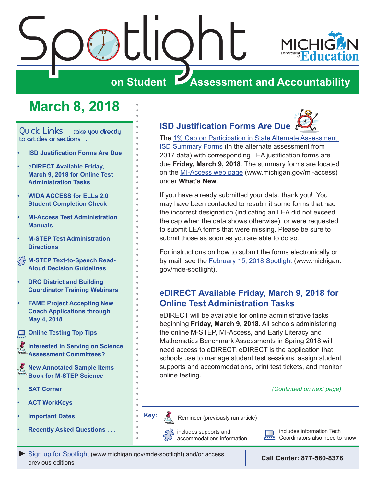<span id="page-0-0"></span>

## **March 8, 2018**

Quick Links . . . take you directly to articles or sections . . .

- **• ISD Justification Forms Are Due**
- **• eDIRECT Available Friday, March 9, 2018 for Online Test Administration Tasks**
- **• [WIDA ACCESS for ELLs 2.0](#page-1-0)  [Student Completion Check](#page-1-0)**
- **• [MI-Access Test Administration](#page-1-0)  [Manuals](#page-1-0)**
- **• [M-STEP Test Administration](#page-2-0)  [Directions](#page-2-0)**
- **[M-STEP Text-to-Speech Read-](#page-2-0)[Aloud Decision Guidelines](#page-2-0)**
- **• [DRC District and Building](#page-2-0)  [Coordinator Training Webinars](#page-2-0)**
- **• [FAME Project Accepting New](#page-2-0)  [Coach Applications through](#page-2-0)  [May 4, 2018](#page-2-0)**
- **[Online Testing Top Tips](#page-3-0)**

Reminders **[Interested in Serving on Science](#page-4-0)  [Assessment Committees?](#page-4-0)**

**Reminder [New Annotated Sample Items](#page-4-0)  [Book for M-STEP Science](#page-4-0)**

- **• [SAT Corner](#page-5-0)**
- **• [ACT WorkKeys](#page-6-0)**
- **• [Important Dates](#page-10-0)**
- **• [Recently Asked Questions . . .](#page-12-0)**

## **ISD Justification Forms Are Due**

The [1% Cap on Participation in State Alternate Assessment](http://www.michigan.gov/documents/mde/1PctCap_Justification_ISDForm_Final_613255_7.pdf)  [ISD Summary Forms](http://www.michigan.gov/documents/mde/1PctCap_Justification_ISDForm_Final_613255_7.pdf) (in the alternate assessment from 2017 data) with corresponding LEA justification forms are due **Friday, March 9, 2018**. The summary forms are located on the [MI-Access web page](http://www.michigan.gov/mi-access) ([www.michigan.gov/mi-access](http://www.michigan.gov/mi-access)) under **What's New**.

If you have already submitted your data, thank you! You may have been contacted to resubmit some forms that had the incorrect designation (indicating an LEA did not exceed the cap when the data shows otherwise), or were requested to submit LEA forms that were missing. Please be sure to submit those as soon as you are able to do so.

For instructions on how to submit the forms electronically or by mail, see the [February 15, 2018 Spotlight](http://www.michigan.gov/documents/mde/Spotlight_2-15-18_614122_7.pdf) ([www.michigan.](http://www.michigan.gov/mde-spotlight) [gov/mde-spotlight\)](http://www.michigan.gov/mde-spotlight).

## **eDIRECT Available Friday, March 9, 2018 for Online Test Administration Tasks**

eDIRECT will be available for online administrative tasks beginning **Friday, March 9, 2018**. All schools administering the online M-STEP, MI-Access, and Early Literacy and Mathematics Benchmark Assessments in Spring 2018 will need access to eDIRECT. eDIRECT is the application that schools use to manage student test sessions, assign student supports and accommodations, print test tickets, and monitor online testing.

*(Continued on next page)*

Reminders

Reminder (previously run article)

includes supports and accommodations information includes information Tech Coordinators also need to know

*►* [Sign up for Spotlight](https://public.govdelivery.com/accounts/MIMDE/subscriber/new) [\(www.michigan.gov/mde](www.michigan.gov/mde-spotlight)-spotlight) and/or access previous editions

**Key:**

**Call Center: 877-560-8378**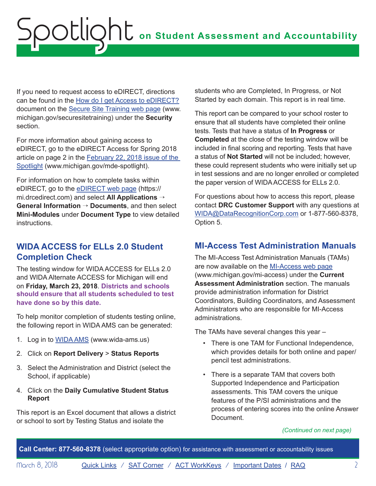<span id="page-1-0"></span>If you need to request access to eDIRECT, directions can be found in the [How do I get Access to eDIRECT?](http://www.michigan.gov/documents/mde/How_do_I_get_access_to_eDIRECT_604305_7.pdf) document on the [Secure Site Training web page \(www.](http://www.michigan.gov/securesitetraining) [michigan.gov/securesitetraining](http://www.michigan.gov/securesitetraining)) under the **Security** section.

For more information about gaining access to eDIRECT, go to the eDIRECT Access for Spring 2018 article on page 2 in the [February 22, 2018 issue of the](http://www.michigan.gov/documents/mde/Spotlight_2-22-18_615004_7.pdf)  [Spotlight](http://www.michigan.gov/documents/mde/Spotlight_2-22-18_615004_7.pdf) ([www.michigan.gov/mde-spotlight\)](http://www.michigan.gov/mde-spotlight).

For information on how to complete tasks within eDIRECT, go to the [eDIRECT web page](https://mi.drcedirect.com) [\(https://](https://mi.drcedirect.com) [mi.drcedirect.com\)](https://mi.drcedirect.com) and select **All Applications** → **General Information** → **Documents**, and then select **Mini-Modules** under **Document Type** to view detailed instructions.

## **WIDA ACCESS for ELLs 2.0 Student Completion Check**

The testing window for WIDA ACCESS for ELLs 2.0 and WIDA Alternate ACCESS for Michigan will end on **Friday, March 23, 2018**. **Districts and schools should ensure that all students scheduled to test have done so by this date.**

To help monitor completion of students testing online, the following report in WIDA AMS can be generated:

- 1. Log in to [WIDA AMS](http://www.wida-ams.us) [\(www.wida-ams.us](http://www.wida-ams.us))
- 2. Click on **Report Delivery** > **Status Reports**
- 3. Select the Administration and District (select the School, if applicable)
- 4. Click on the **Daily Cumulative Student Status Report**

This report is an Excel document that allows a district or school to sort by Testing Status and isolate the

students who are Completed, In Progress, or Not Started by each domain. This report is in real time.

This report can be compared to your school roster to ensure that all students have completed their online tests. Tests that have a status of **In Progress** or **Completed** at the close of the testing window will be included in final scoring and reporting. Tests that have a status of **Not Started** will not be included; however, these could represent students who were initially set up in test sessions and are no longer enrolled or completed the paper version of WIDA ACCESS for ELLs 2.0.

For questions about how to access this report, please contact **DRC Customer Support** with any questions at [WIDA@DataRecognitionCorp.com](mailto:WIDA%40DataRecognitionCorp.com?subject=) or 1-877-560-8378, Option 5.

## **MI-Access Test Administration Manuals**

The MI-Access Test Administration Manuals (TAMs) are now available on the [MI-Access web page](http://www.michigan.gov/mi-access) ([www.michigan.gov/mi-access\)](http://www.michigan.gov/mi-access) under the **Current Assessment Administration** section. The manuals provide administration information for District Coordinators, Building Coordinators, and Assessment Administrators who are responsible for MI-Access administrations.

The TAMs have several changes this year –

- There is one TAM for Functional Independence, which provides details for both online and paper/ pencil test administrations.
- There is a separate TAM that covers both Supported Independence and Participation assessments. This TAM covers the unique features of the P/SI administrations and the process of entering scores into the online Answer Document.

*(Continued on next page)*

**Call Center: 877-560-8378** (select appropriate option) for assistance with assessment or accountability issues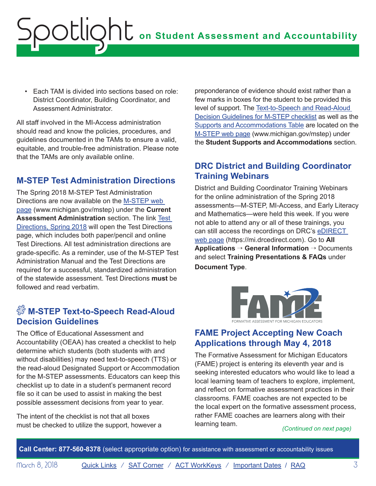<span id="page-2-0"></span>• Each TAM is divided into sections based on role: District Coordinator, Building Coordinator, and Assessment Administrator.

All staff involved in the MI-Access administration should read and know the policies, procedures, and guidelines documented in the TAMs to ensure a valid, equitable, and trouble-free administration. Please note that the TAMs are only available online.

## **M-STEP Test Administration Directions**

The Spring 2018 M-STEP Test Administration Directions are now available on the [M-STEP web](www.michigan.gov/mstep)  [page](www.michigan.gov/mstep) [\(www.michigan.gov/mstep](www.michigan.gov/mstep)) under the **Current Assessment Administration** section. The link [Test](https://www.michigan.gov/mde/0,4615,7-140-22709_70117-363349--,00.html)  [Directions, Spring 2018](https://www.michigan.gov/mde/0,4615,7-140-22709_70117-363349--,00.html) will open the Test Directions page, which includes both paper/pencil and online Test Directions. All test administration directions are grade-specific. As a reminder, use of the M-STEP Test Administration Manual and the Test Directions are required for a successful, standardized administration of the statewide assessment. Test Directions **must** be followed and read verbatim.

## $\sqrt[S]{\ }$  M-STEP Text-to-Speech Read-Aloud **Decision Guidelines**

The Office of Educational Assessment and Accountability (OEAA) has created a checklist to help determine which students (both students with and without disabilities) may need text-to-speech (TTS) or the read-aloud Designated Support or Accommodation for the M-STEP assessments. Educators can keep this checklist up to date in a student's permanent record file so it can be used to assist in making the best possible assessment decisions from year to year.

The intent of the checklist is not that all boxes must be checked to utilize the support, however a

preponderance of evidence should exist rather than a few marks in boxes for the student to be provided this level of support. The [Text-to-Speech and Read-Aloud](http://www.michigan.gov/documents/mde/TTS_and_Read-Aloud_Decision_Guidelines_612630_7.pdf)  [Decision Guidelines for M-STEP checklist](http://www.michigan.gov/documents/mde/TTS_and_Read-Aloud_Decision_Guidelines_612630_7.pdf) as well as the [Supports and Accommodations Table](http://www.michigan.gov/documents/mde/M-STEP_Supports_and__Accommodations_Table_477120_7.pdf) are located on the [M-STEP web page \(www.michigan.gov/mstep\)](www.michigan.gov/mstep) under the **Student Supports and Accommodations** section.

## **DRC District and Building Coordinator Training Webinars**

District and Building Coordinator Training Webinars for the online administration of the Spring 2018 assessments—M-STEP, MI-Access, and Early Literacy and Mathematics—were held this week. If you were not able to attend any or all of these trainings, you can still access the recordings on DRC's [eDIRECT](https://mi.drcedirect.com)  [web page](https://mi.drcedirect.com) (<https://mi.drcedirect.com>). Go to **All Applications** → **General Information** → Documents and select **Training Presentations & FAQs** under **Document Type**.



## **FAME Project Accepting New Coach Applications through May 4, 2018**

The Formative Assessment for Michigan Educators (FAME) project is entering its eleventh year and is seeking interested educators who would like to lead a local learning team of teachers to explore, implement, and reflect on formative assessment practices in their classrooms. FAME coaches are not expected to be the local expert on the formative assessment process, rather FAME coaches are learners along with their learning team. *(Continued on next page)*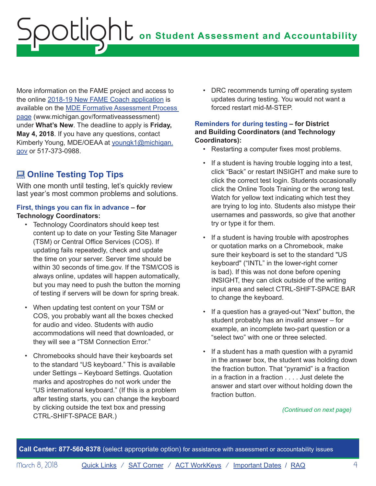<span id="page-3-0"></span>More information on the FAME project and access to the online [2018-19 New FAME Coach application](https://www.surveymonkey.com/r/FAMEnewcoaches) is available on the [MDE Formative Assessment Process](http://www.michigan.gov/formativeassessment)  [page](http://www.michigan.gov/formativeassessment) [\(www.michigan.gov/formativeassessment](http://www.michigan.gov/formativeassessment)) under **What's New**. The deadline to apply is **Friday, May 4, 2018**. If you have any questions, contact Kimberly Young, MDE/OEAA at [youngk1@michigan.](mailto:youngk1%40michigan.gov?subject=) [gov](mailto:youngk1%40michigan.gov?subject=) or 517-373-0988.

## **<u></u> Online Testing Top Tips**

With one month until testing, let's quickly review last year's most common problems and solutions.

### **First, things you can fix in advance – for Technology Coordinators:**

- Technology Coordinators should keep test content up to date on your Testing Site Manager (TSM) or Central Office Services (COS). If updating fails repeatedly, check and update the time on your server. Server time should be within 30 seconds of time.gov. If the TSM/COS is always online, updates will happen automatically, but you may need to push the button the morning of testing if servers will be down for spring break.
- When updating test content on your TSM or COS, you probably want all the boxes checked for audio and video. Students with audio accommodations will need that downloaded, or they will see a "TSM Connection Error."
- Chromebooks should have their keyboards set to the standard "US keyboard." This is available under Settings – Keyboard Settings. Quotation marks and apostrophes do not work under the "US international keyboard." (If this is a problem after testing starts, you can change the keyboard by clicking outside the text box and pressing CTRL-SHIFT-SPACE BAR.)

• DRC recommends turning off operating system updates during testing. You would not want a forced restart mid-M-STEP.

### **Reminders for during testing – for District and Building Coordinators (and Technology Coordinators):**

- Restarting a computer fixes most problems.
- If a student is having trouble logging into a test, click "Back" or restart INSIGHT and make sure to click the correct test login. Students occasionally click the Online Tools Training or the wrong test. Watch for yellow text indicating which test they are trying to log into. Students also mistype their usernames and passwords, so give that another try or type it for them.
- If a student is having trouble with apostrophes or quotation marks on a Chromebook, make sure their keyboard is set to the standard "US keyboard" ("INTL" in the lower-right corner is bad). If this was not done before opening INSIGHT, they can click outside of the writing input area and select CTRL-SHIFT-SPACE BAR to change the keyboard.
- If a question has a grayed-out "Next" button, the student probably has an invalid answer – for example, an incomplete two-part question or a "select two" with one or three selected.
- If a student has a math question with a pyramid in the answer box, the student was holding down the fraction button. That "pyramid" is a fraction in a fraction in a fraction . . . . Just delete the answer and start over without holding down the fraction button.

#### *(Continued on next page)*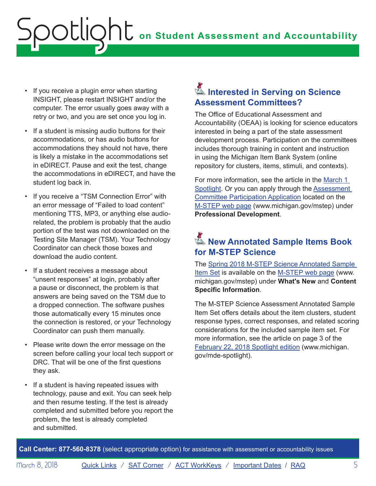## <span id="page-4-0"></span>**ONE** on Student Assessment and Accountability octlic

- If you receive a plugin error when starting INSIGHT, please restart INSIGHT and/or the computer. The error usually goes away with a retry or two, and you are set once you log in.
- If a student is missing audio buttons for their accommodations, or has audio buttons for accommodations they should not have, there is likely a mistake in the accommodations set in eDIRECT. Pause and exit the test, change the accommodations in eDIRECT, and have the student log back in.
- If you receive a "TSM Connection Error" with an error message of "Failed to load content" mentioning TTS, MP3, or anything else audiorelated, the problem is probably that the audio portion of the test was not downloaded on the Testing Site Manager (TSM). Your Technology Coordinator can check those boxes and download the audio content.
- If a student receives a message about "unsent responses" at login, probably after a pause or disconnect, the problem is that answers are being saved on the TSM due to a dropped connection. The software pushes those automatically every 15 minutes once the connection is restored, or your Technology Coordinator can push them manually.
- Please write down the error message on the screen before calling your local tech support or DRC. That will be one of the first questions they ask.
- If a student is having repeated issues with technology, pause and exit. You can seek help and then resume testing. If the test is already completed and submitted before you report the problem, the test is already completed and submitted.

## Reminders **Interested in Serving on Science Assessment Committees?**

The Office of Educational Assessment and Accountability (OEAA) is looking for science educators interested in being a part of the state assessment development process. Participation on the committees includes thorough training in content and instruction in using the Michigan Item Bank System (online repository for clusters, items, stimuli, and contexts).

For more information, see the article in the [March 1](http://www.michigan.gov/documents/mde/Spotlight_3-1-18_616023_7.pdf)  [Spotlight](http://www.michigan.gov/documents/mde/Spotlight_3-1-18_616023_7.pdf). Or you can apply through the **Assessment** [Committee Participation Application](http://www.cvent.com/surveys/Questions/IDConfirm.aspx?s=06002a4e-c578-417d-807f-542787fad180) located on the [M-STEP web page](www.michigan.gov/mstep) [\(www.michigan.gov/mstep](www.michigan.gov/mstep)) under **Professional Development**.

## Reminders **New Annotated Sample Items Book for M-STEP Science**

The [Spring 2018 M-STEP Science Annotated Sample](http://www.michigan.gov/documents/mde/2018_M-STEP_Annotated_Sample_Items_test_614886_7.pdf)  [Item Set](http://www.michigan.gov/documents/mde/2018_M-STEP_Annotated_Sample_Items_test_614886_7.pdf) is available on the [M-STEP web page \(www.](www.michigan.gov/mstep) [michigan.gov/mstep](www.michigan.gov/mstep)) under **What's New** and **Content Specific Information**.

The M-STEP Science Assessment Annotated Sample Item Set offers details about the item clusters, student response types, correct responses, and related scoring considerations for the included sample item set. For more information, see the article on page 3 of the [February 22, 2018 Spotlight edition](http://www.michigan.gov/documents/mde/Spotlight_2-22-18_615004_7.pdf) [\(www.michigan.](http://www.michigan.gov/mde-spotlight) [gov/mde-spotlight](http://www.michigan.gov/mde-spotlight)).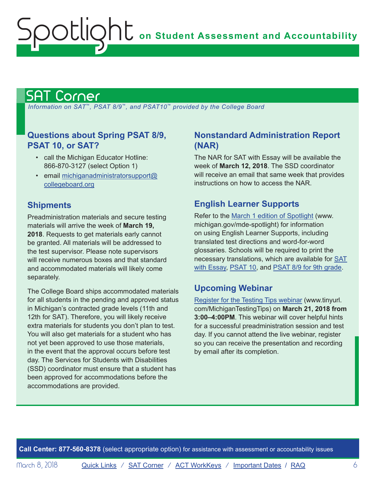## <span id="page-5-1"></span>SAT Corner

<span id="page-5-0"></span>ootlic

 *Information on SAT*™*, PSAT 8/9*™*, and PSAT10*™ *provided by the College Board*

## **Questions about Spring PSAT 8/9, PSAT 10, or SAT?**

- call the Michigan Educator Hotline: 866-870-3127 (select Option 1)
- email [michiganadministratorsupport@](mailto:michiganadministratorsupport%40collegeboard.org?subject=) [collegeboard.org](mailto:michiganadministratorsupport%40collegeboard.org?subject=)

## **Shipments**

Preadministration materials and secure testing materials will arrive the week of **March 19, 2018**. Requests to get materials early cannot be granted. All materials will be addressed to the test supervisor. Please note supervisors will receive numerous boxes and that standard and accommodated materials will likely come separately.

The College Board ships accommodated materials for all students in the pending and approved status in Michigan's contracted grade levels (11th and 12th for SAT). Therefore, you will likely receive extra materials for students you don't plan to test. You will also get materials for a student who has not yet been approved to use those materials, in the event that the approval occurs before test day. The Services for Students with Disabilities (SSD) coordinator must ensure that a student has been approved for accommodations before the accommodations are provided.

## **Nonstandard Administration Report (NAR)**

The NAR for SAT with Essay will be available the week of **March 12, 2018**. The SSD coordinator will receive an email that same week that provides instructions on how to access the NAR.

## **English Learner Supports**

Refer to the [March 1 edition of Spotlight](http://www.michigan.gov/documents/mde/Spotlight_3-1-18_616023_7.pdf) [\(www.](http://www.michigan.gov/mde-spotlight) [michigan.gov/mde-spotlight](http://www.michigan.gov/mde-spotlight)) for information on using English Learner Supports, including translated test directions and word-for-word glossaries. Schools will be required to print the necessary translations, which are available for [SAT](https://collegereadiness.collegeboard.org/sat/k12-educators/sat-school-day/downloads)  [with Essay](https://collegereadiness.collegeboard.org/sat/k12-educators/sat-school-day/downloads), [PSAT 10](https://collegereadiness.collegeboard.org/psat-nmsqt-psat-10/k12-educators/resource-library), and [PSAT 8/9 for 9th grade](https://collegereadiness.collegeboard.org/psat-8-9/k12-educators/resource-library).

## **Upcoming Webinar**

[Register for the Testing Tips webinar](http://www.tinyurl.com/MichiganTestingTips) ([www.tinyurl.](http://www.tinyurl.com/MichiganTestingTips) [com/MichiganTestingTips](http://www.tinyurl.com/MichiganTestingTips)) on **March 21, 2018 from 3:00–4:00PM**. This webinar will cover helpful hints for a successful preadministration session and test day. If you cannot attend the live webinar, register so you can receive the presentation and recording by email after its completion.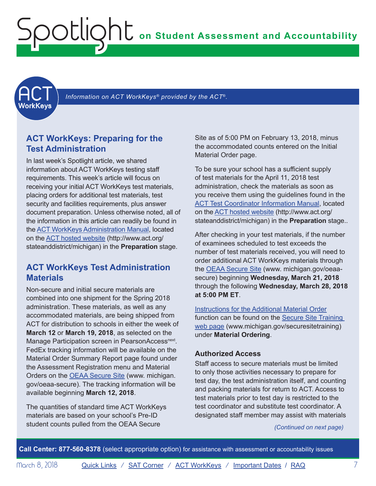<span id="page-6-1"></span><span id="page-6-0"></span>**ACT** 

Information on ACT WorkKeys<sup>®</sup> provided by the ACT<sup>®</sup>.

## **ACT WorkKeys: Preparing for the Test Administration**

In last week's Spotlight article, we shared information about ACT WorkKeys testing staff requirements. This week's article will focus on receiving your initial ACT WorkKeys test materials, placing orders for additional test materials, test security and facilities requirements, plus answer document preparation. Unless otherwise noted, all of the information in this article can readily be found in the [ACT WorkKeys Administration Manual](http://www.act.org/content/dam/act/secured/documents/pdfs/WK-Admin-SD-Std-Time-Paper-Secured.pdf), located on the [ACT hosted website](http://www.act.org/stateanddistrict/michigan) ([http://www.act.org/](http://www.act.org/stateanddistrict/michigan) [stateanddistrict/michigan](http://www.act.org/stateanddistrict/michigan)) in the **Preparation** stage.

## **ACT WorkKeys Test Administration Materials**

Non-secure and initial secure materials are combined into one shipment for the Spring 2018 administration. These materials, as well as any accommodated materials, are being shipped from ACT for distribution to schools in either the week of **March 12** or **March 19, 2018**, as selected on the Manage Participation screen in PearsonAccess<sup>next</sup>. FedEx tracking information will be available on the Material Order Summary Report page found under the Assessment Registration menu and Material Orders on the [OEAA Secure Site](http://www.michigan.gov/oeaa-secure) ([www. michigan.](http://www.michigan.gov/oeaa-secure) [gov/oeaa-secure\)](http://www.michigan.gov/oeaa-secure). The tracking information will be available beginning **March 12, 2018**.

The quantities of standard time ACT WorkKeys materials are based on your school's Pre-ID student counts pulled from the OEAA Secure

Site as of 5:00 PM on February 13, 2018, minus the accommodated counts entered on the Initial Material Order page.

To be sure your school has a sufficient supply of test materials for the April 11, 2018 test administration, check the materials as soon as you receive them using the guidelines found in the [ACT Test Coordinator Information Manual](https://www.act.org/content/dam/act/secured/documents/pdfs/state-district-test-coordinator-paper-test.pdf), located on the [ACT hosted website](http://www.act.org/stateanddistrict/michigan) ([http://www.act.org/](http://www.act.org/stateanddistrict/michigan) [stateanddistrict/michigan\)](http://www.act.org/stateanddistrict/michigan) in the **Preparation** stage..

After checking in your test materials, if the number of examinees scheduled to test exceeds the number of test materials received, you will need to order additional ACT WorkKeys materials through the **OEAA Secure Site** (www. michigan.gov/oeaa[secure\)](http://www.michigan.gov/oeaa-secure) beginning **Wednesday, March 21, 2018** through the following **Wednesday, March 28, 2018 at 5:00 PM ET**.

[Instructions for the Additional Material Order](http://www.michigan.gov/documents/mde/additional_material_order_quick_reference_554554_7.pdf) function can be found on the [Secure Site Training](http://www.michigan.gov/securesitetraining)  [web page](http://www.michigan.gov/securesitetraining) ([www.michigan.gov/securesitetraining](http://www.michigan.gov/securesitetraining)) under **Material Ordering**.

#### **Authorized Access**

Staff access to secure materials must be limited to only those activities necessary to prepare for test day, the test administration itself, and counting and packing materials for return to ACT. Access to test materials prior to test day is restricted to the test coordinator and substitute test coordinator. A designated staff member may assist with materials

*(Continued on next page)*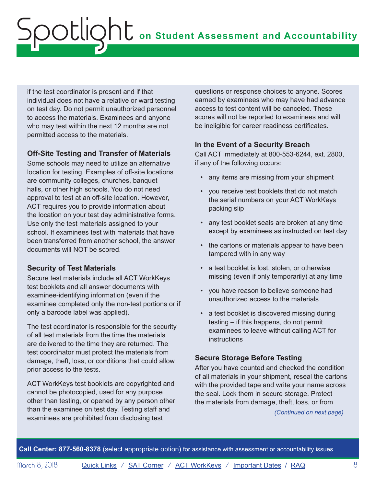if the test coordinator is present and if that individual does not have a relative or ward testing on test day. Do not permit unauthorized personnel to access the materials. Examinees and anyone who may test within the next 12 months are not permitted access to the materials.

### **Off-Site Testing and Transfer of Materials**

Some schools may need to utilize an alternative location for testing. Examples of off-site locations are community colleges, churches, banquet halls, or other high schools. You do not need approval to test at an off-site location. However, ACT requires you to provide information about the location on your test day administrative forms. Use only the test materials assigned to your school. If examinees test with materials that have been transferred from another school, the answer documents will NOT be scored.

## **Security of Test Materials**

Secure test materials include all ACT WorkKeys test booklets and all answer documents with examinee-identifying information (even if the examinee completed only the non-test portions or if only a barcode label was applied).

The test coordinator is responsible for the security of all test materials from the time the materials are delivered to the time they are returned. The test coordinator must protect the materials from damage, theft, loss, or conditions that could allow prior access to the tests.

ACT WorkKeys test booklets are copyrighted and cannot be photocopied, used for any purpose other than testing, or opened by any person other than the examinee on test day. Testing staff and examinees are prohibited from disclosing test

questions or response choices to anyone. Scores earned by examinees who may have had advance access to test content will be canceled. These scores will not be reported to examinees and will be ineligible for career readiness certificates.

## **In the Event of a Security Breach**

Call ACT immediately at 800-553-6244, ext. 2800, if any of the following occurs:

- any items are missing from your shipment
- you receive test booklets that do not match the serial numbers on your ACT WorkKeys packing slip
- any test booklet seals are broken at any time except by examinees as instructed on test day
- the cartons or materials appear to have been tampered with in any way
- a test booklet is lost, stolen, or otherwise missing (even if only temporarily) at any time
- you have reason to believe someone had unauthorized access to the materials
- a test booklet is discovered missing during testing – if this happens, do not permit examinees to leave without calling ACT for **instructions**

## **Secure Storage Before Testing**

After you have counted and checked the condition of all materials in your shipment, reseal the cartons with the provided tape and write your name across the seal. Lock them in secure storage. Protect the materials from damage, theft, loss, or from

*(Continued on next page)*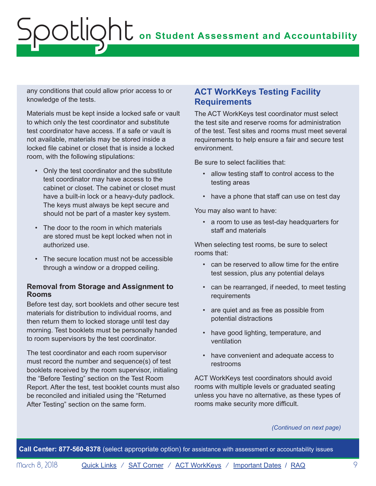any conditions that could allow prior access to or knowledge of the tests.

Materials must be kept inside a locked safe or vault to which only the test coordinator and substitute test coordinator have access. If a safe or vault is not available, materials may be stored inside a locked file cabinet or closet that is inside a locked room, with the following stipulations:

- Only the test coordinator and the substitute test coordinator may have access to the cabinet or closet. The cabinet or closet must have a built-in lock or a heavy-duty padlock. The keys must always be kept secure and should not be part of a master key system.
- The door to the room in which materials are stored must be kept locked when not in authorized use.
- The secure location must not be accessible through a window or a dropped ceiling.

### **Removal from Storage and Assignment to Rooms**

Before test day, sort booklets and other secure test materials for distribution to individual rooms, and then return them to locked storage until test day morning. Test booklets must be personally handed to room supervisors by the test coordinator.

The test coordinator and each room supervisor must record the number and sequence(s) of test booklets received by the room supervisor, initialing the "Before Testing" section on the Test Room Report. After the test, test booklet counts must also be reconciled and initialed using the "Returned After Testing" section on the same form.

## **ACT WorkKeys Testing Facility Requirements**

The ACT WorkKeys test coordinator must select the test site and reserve rooms for administration of the test. Test sites and rooms must meet several requirements to help ensure a fair and secure test environment.

Be sure to select facilities that:

- allow testing staff to control access to the testing areas
- have a phone that staff can use on test day

You may also want to have:

• a room to use as test-day headquarters for staff and materials

When selecting test rooms, be sure to select rooms that:

- can be reserved to allow time for the entire test session, plus any potential delays
- can be rearranged, if needed, to meet testing requirements
- are quiet and as free as possible from potential distractions
- have good lighting, temperature, and ventilation
- have convenient and adequate access to restrooms

ACT WorkKeys test coordinators should avoid rooms with multiple levels or graduated seating unless you have no alternative, as these types of rooms make security more difficult.

#### *(Continued on next page)*

**Call Center: 877-560-8378** (select appropriate option) for assistance with assessment or accountability issues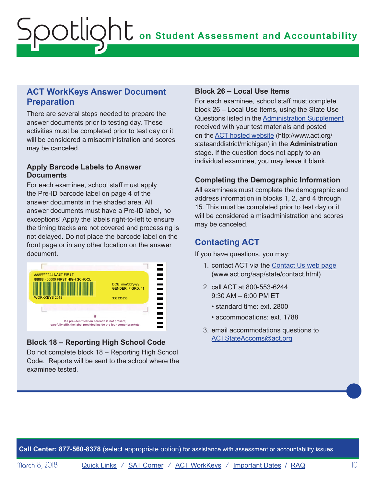## **ACT WorkKeys Answer Document Preparation**

There are several steps needed to prepare the answer documents prior to testing day. These activities must be completed prior to test day or it will be considered a misadministration and scores may be canceled.

### **Apply Barcode Labels to Answer Documents**

For each examinee, school staff must apply the Pre-ID barcode label on page 4 of the answer documents in the shaded area. All answer documents must have a Pre-ID label, no exceptions! Apply the labels right-to-left to ensure the timing tracks are not covered and processing is not delayed. Do not place the barcode label on the front page or in any other location on the answer document.



## **Block 18 – Reporting High School Code**

Do not complete block 18 – Reporting High School Code. Reports will be sent to the school where the examinee tested.

### **Block 26 – Local Use Items**

For each examinee, school staff must complete block 26 – Local Use Items, using the State Use Questions listed in the [Administration Supplement](https://www.act.org/content/dam/act/unsecured/documents/AdministrationSupplementWorkKeys-MI.pdf) received with your test materials and posted on the [ACT hosted website](http://www.act.org/stateanddistrict/michigan) [\(http://www.act.org/](http://www.act.org/stateanddistrict/michigan) [stateanddistrict/michigan\)](http://www.act.org/stateanddistrict/michigan) in the **Administration** stage. If the question does not apply to an individual examinee, you may leave it blank.

## **Completing the Demographic Information**

All examinees must complete the demographic and address information in blocks 1, 2, and 4 through 15. This must be completed prior to test day or it will be considered a misadministration and scores may be canceled.

## **Contacting ACT**

If you have questions, you may:

- 1. contact ACT via the [Contact Us web page](http://www.act.org/aap/state/contact.html) [\(www.act.org/aap/state/contact.html\)](www.act.org/aap/state/contact.html)
- 2. call ACT at 800-553-6244 9:30 AM – 6:00 PM ET
	- standard time: ext. 2800
	- accommodations: ext. 1788
- 3. email accommodations questions to [ACTStateAccoms@act.org](mailto:ACTStateAccoms%40act.org?subject=)

**Call Center: 877-560-8378** (select appropriate option) for assistance with assessment or accountability issues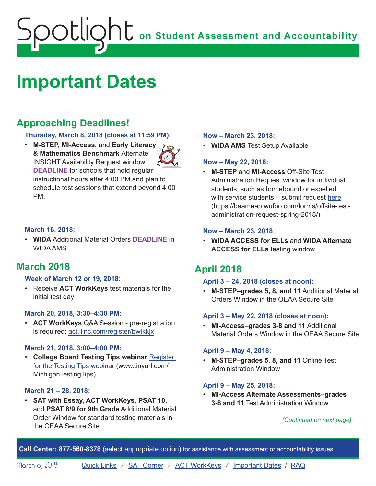## <span id="page-10-1"></span><span id="page-10-0"></span>**Important Dates**

## **Approaching Deadlines!**

### **Thursday, March 8, 2018 (closes at 11:59 PM):**

• **M-STEP, MI-Access,** and **Early Literacy & Mathematics Benchmark** Alternate INSIGHT Availability Request window **DEADLINE** for schools that hold regular instructional hours after 4:00 PM and plan to schedule test sessions that extend beyond 4:00 PM.

### **March 16, 2018:**

• **WIDA** Additional Material Orders **DEADLINE** in WIDA AMS

## **March 2018**

#### **Week of March 12 or 19, 2018:**

• Receive **ACT WorkKeys** test materials for the initial test day

#### **March 20, 2018, 3:30–4:30 PM:**

• **ACT WorkKeys** Q&A Session - pre-registration is required: act.ilinc.com/register/bwtkkjx

#### **March 21, 2018, 3:00–4:00 PM:**

• **College Board Testing Tips webinar** [Register](http://www.tinyurl.com/MichiganTestingTips) [for the Testing Tips webinar](http://www.tinyurl.com/MichiganTestingTips) ([www.tinyurl.com/](http://www.tinyurl.com/MichiganTestingTips) [MichiganTestingTips](http://www.tinyurl.com/MichiganTestingTips))

#### **March 21 – 28, 2018:**

• **SAT with Essay, ACT WorkKeys, PSAT 10,** and **PSAT 8/9 for 9th Grade** Additional Material Order Window for standard testing materials in the OEAA Secure Site

#### **Now – March 23, 2018:**

• **WIDA AMS** Test Setup Available

### **Now – May 22, 2018:**

• **M-STEP** and **MI-Access** Off-Site Test Administration Request window for individual students, such as homebound or expelled with service students – submit request [here](https://baameap.wufoo.com/forms/offsite-test-administration-request-spring-2018/) ([https://baameap.wufoo.com/forms/offsite-test](https://baameap.wufoo.com/forms/offsite-test-administration-request-spring-2018/)[administration-request-spring-2018/\)](https://baameap.wufoo.com/forms/offsite-test-administration-request-spring-2018/)

### **Now – March 23, 2018**

• **WIDA ACCESS for ELLs** and **WIDA Alternate ACCESS for ELLs** testing window

## **April 2018**

#### **April 3 – 24, 2018 (closes at noon):**

• **M-STEP–grades 5, 8, and 11** Additional Material Orders Window in the OEAA Secure Site

### **April 3 – May 22, 2018 (closes at noon):**

• **MI-Access–grades 3-8 and 11** Additional Material Orders Window in the OEAA Secure Site

#### **April 9 – May 4, 2018:**

• **M-STEP–grades 5, 8, and 11** Online Test Administration Window

#### **April 9 – May 25, 2018:**

• **MI-Access Alternate Assessments–grades 3-8 and 11** Test Administration Window

#### *(Continued on next page)*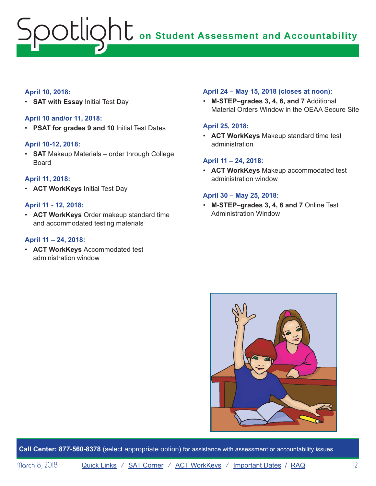### **April 10, 2018:**

• **SAT with Essay** Initial Test Day

### **April 10 and/or 11, 2018:**

• **PSAT for grades 9 and 10** Initial Test Dates

#### **April 10-12, 2018:**

• **SAT** Makeup Materials – order through College Board

### **April 11, 2018:**

• **ACT WorkKeys** Initial Test Day

### **April 11 - 12, 2018:**

• **ACT WorkKeys** Order makeup standard time and accommodated testing materials

#### **April 11 – 24, 2018:**

• **ACT WorkKeys** Accommodated test administration window

#### **April 24 – May 15, 2018 (closes at noon):**

• **M-STEP–grades 3, 4, 6, and 7** Additional Material Orders Window in the OEAA Secure Site

#### **April 25, 2018:**

• **ACT WorkKeys** Makeup standard time test administration

#### **April 11 – 24, 2018:**

• **ACT WorkKeys** Makeup accommodated test administration window

#### **April 30 – May 25, 2018:**

• **M-STEP–grades 3, 4, 6 and 7** Online Test Administration Window